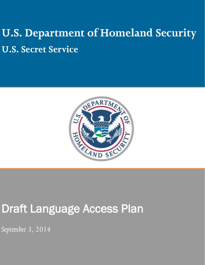# **U.S. Department of Homeland Security U.S. Secret Service**



# Draft Language Access Plan

*September 3, 2014*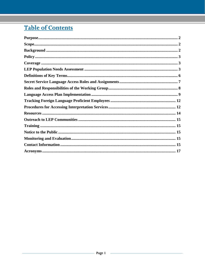# **Table of Contents**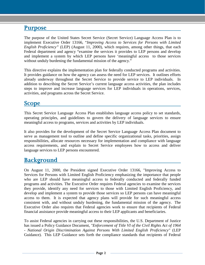## <span id="page-2-0"></span>**Purpose**

The purpose of the United States Secret Service (Secret Service) Language Access Plan is to implement Executive Order 13166, "*Improving Access to Services for Persons with Limited English Proficiency"* (LEP) (August 11, 2000), which requires, among other things, that each Federal department and agency "examine the services it provides to LEP persons and develop and implement a system by which LEP persons have 'meaningful access to those services without unduly burdening the fundamental mission of the agency."

This directive explains the implementation plan for federally conducted programs and activities. It provides guidance on how the agency can assess the need for LEP services. It outlines efforts already underway throughout the Secret Service to provide service to LEP individuals. In addition to describing the Secret Service's current language access activities, the plan includes steps to improve and increase language services for LEP individuals in operations, services, activities, and programs across the Secret Service.

## <span id="page-2-1"></span>**Scope**

This Secret Service Language Access Plan establishes language access policy to set standards, operating principles, and guidelines to govern the delivery of language services to ensure meaningful access to programs, services and activities by LEP individuals.

It also provides for the development of the Secret Service Language Access Plan document to serve as management tool to outline and define specific organizational tasks, priorities, assign responsibilities, allocate resources necessary for implementation and compliance with language access requirements, and explain to Secret Service employees how to access and deliver language services to LEP persons encountered.

# <span id="page-2-2"></span>**Background**

On August 11, 2000, the President signed Executive Order 13166, "Improving Access to Services for Persons with Limited English Proficiency emphasizing the importance that people who are LEP should have meaningful access to federally conducted and federally funded programs and activities. The Executive Order requires Federal agencies to examine the services they provide, identify any need for services to those with Limited English Proficiency, and develop and implement a system to provide those services so LEP persons can have meaningful access to them. It is expected that agency plans will provide for such meaningful access consistent with, and without unduly burdening, the fundamental mission of the agency. The Executive Order also requires that Federal agencies work to ensure that recipients of Federal financial assistance provide meaningful access to their LEP applicants and beneficiaries.

To assist Federal agencies in carrying out these responsibilities, the U.S. Department of Justice has issued a Policy Guidance Document, *"Enforcement of Title VI of the Civil Rights Act of 1964 - National Origin Discrimination Against Persons With Limited English Proficiency"* (LEP Guidance). This LEP Guidance sets forth the compliance standards that recipients of Federal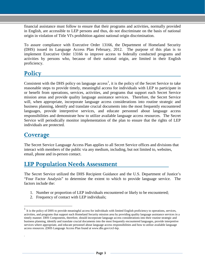financial assistance must follow to ensure that their programs and activities, normally provided in English, are accessible to LEP persons and thus, do not discriminate on the basis of national origin in violation of Title VI's prohibition against national origin discrimination.

To assure compliance with Executive Order 13166, the Department of Homeland Security (DHS) issued its Language Access Plan February, 2012. The purpose of this plan is to implement Executive Order 13166 to improve access to federally conducted programs and activities by persons who, because of their national origin, are limited in their English proficiency.

# <span id="page-3-0"></span>**Policy**

Consistent with the DHS policy on language  $access<sup>1</sup>$  $access<sup>1</sup>$  $access<sup>1</sup>$ , it is the policy of the Secret Service to take reasonable steps to provide timely, meaningful access for individuals with LEP to participate in or benefit from operations, services, activities, and programs that support each Secret Service mission areas and provide quality language assistance services. Therefore, the Secret Service will, when appropriate, incorporate language access considerations into routine strategic and business planning, identify and translate crucial documents into the most frequently encountered languages, provide interpretive services, and educate personnel about language access responsibilities and demonstrate how to utilize available language access resources. The Secret Service will periodically monitor implementation of the plan to ensure that the rights of LEP individuals are protected.

# <span id="page-3-1"></span>**Coverage**

.

 $\overline{a}$ 

The Secret Service Language Access Plan applies to all Secret Service offices and divisions that interact with members of the public via any medium, including, but not limited to, websites, email, phone and in-person contact.

# <span id="page-3-2"></span>**LEP Population Needs Assessment**

The Secret Service utilized the DHS Recipient Guidance and the U.S. Department of Justice's "Four Factor Analysis" to determine the extent to which to provide language service. The factors include the:

- 1. Number or proportion of LEP individuals encountered or likely to be encountered;
- 2. Frequency of contact with LEP individuals;

<span id="page-3-3"></span><sup>1</sup> It is the policy of DHS to provide meaningful access for individuals with limited English proficiency to operations, services, activities, and programs that support each Homeland Security mission area by providing quality language assistance services in a timely manner. DHS Components, therefore, should incorporate language access considerations into their routine strategic and business planning, identify and translate crucial documents into the most frequently encountered languages, provide interpretive services where appropriate, and educate personnel about language access responsibilities and how to utilize available language access resources. (DHS Language Access Plan found a[t www.dhs.gov/crcl-lep.](http://www.dhs.gov/crcl-lep)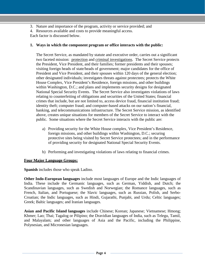- 3. Nature and importance of the program, activity or service provided; and
- 4. Resources available and costs to provide meaningful access.

Each factor is discussed below.

#### **1. Ways in which the component program or office interacts with the public:**

The Secret Service, as mandated by statute and executive order, carries out a significant two faceted mission: protection and criminal investigations. The Secret Service protects the President, Vice President, and their families; former presidents and their spouses; visiting foreign heads of state/heads of government; major candidates for the office of President and Vice President, and their spouses within 120 days of the general election; other designated individuals; investigates threats against protectees; protects the White House Complex, Vice President's Residence, foreign missions, and other buildings within Washington, D.C.; and plans and implements security designs for designated National Special Security Events. The Secret Service also investigates violations of laws relating to counterfeiting of obligations and securities of the United States; financial crimes that include, but are not limited to, access device fraud, financial institution fraud; identity theft; computer fraud; and computer-based attacks on our nation's financial, banking, and telecommunications infrastructure. The Secret Service mission, as identified above, creates unique situations for members of the Secret Service to interact with the public. Some situations where the Secret Service interacts with the public are:

- a) Providing security for the White House complex, Vice President's Residence, foreign missions, and other buildings within Washington, D.C.; securing protective sites being visited by Secret Service protectees; and in the performance of providing security for designated National Special Security Events.
- b) Performing and investigating violations of laws relating to financial crimes.

#### **Four Major Language Groups:**

**Spanish** includes those who speak Ladino.

**Other Indo-European languages** include most languages of Europe and the Indic languages of India. These include the Germanic languages, such as German, Yiddish, and Dutch; the Scandinavian languages, such as Swedish and Norwegian; the Romance languages, such as French, Italian, and Portuguese; the Slavic languages, such as Russian, Polish, and Serbo-Croatian; the Indic languages, such as Hindi, Gujarathi, Punjabi, and Urdu; Celtic languages; Greek; Baltic languages; and Iranian languages.

**Asian and Pacific Island languages** include Chinese; Korean; Japanese; Vietnamese; Hmong; Khmer; Lao; Thai; Tagalog or Pilipino; the Dravidian languages of India, such as Telegu, Tamil, and Malayalam; and other languages of Asia and the Pacific, including the Philippine, Polynesian, and Micronesian languages.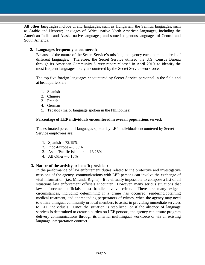**All other languages** include Uralic languages, such as Hungarian; the Semitic languages, such as Arabic and Hebrew; languages of Africa; native North American languages, including the American Indian and Alaska native languages; and some indigenous languages of Central and South America.

#### **2. Languages frequently encountered:**

Because of the nature of the Secret Service's mission, the agency encounters hundreds of different languages. Therefore, the Secret Service utilized the U.S. Census Bureau through its American Community Survey report released in April 2010, to identify the most frequent languages likely encountered by the Secret Service workforce.

The top five foreign languages encountered by Secret Service personnel in the field and at headquarters are:

- 1. Spanish
- 2. Chinese
- 3. French
- 4. German
- 5. Tagalog (major language spoken in the Philippines)

#### **Percentage of LEP individuals encountered in overall populations served:**

The estimated percent of languages spoken by LEP individuals encountered by Secret Service employees are:

- 1. Spanish 72.19%
- 2. Indo-Europe 8.35%
- 3. Asian/Pacific Islanders 13.28%
- 4. All Other 6.18%

#### **3. Nature of the activity or benefit provided:**

In the performance of law enforcement duties related to the protective and investigative missions of the agency, communications with LEP persons can involve the exchange of vital information (i.e., Miranda Rights). It is virtually impossible to compose a list of all situations law enforcement officials encounter. However, many serious situations that law enforcement officials must handle involve crime. There are many exigent circumstances, including determining if a crime has occurred, rendering/obtaining medical treatment, and apprehending perpetrators of crimes, when the agency may need to utilize bilingual community or local members to assist in providing immediate services to LEP individuals. Once the situation is stabilized, or if the absence of language services is determined to create a burden on LEP persons, the agency can ensure program delivery communications through its internal multilingual workforce or via an existing language interpretation contract.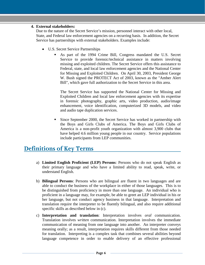#### **4. External stakeholders:**

Due to the nature of the Secret Service's mission, personnel interact with other local, State, and Federal law enforcement agencies on a recurring basis. In addition, the Secret Service has partnerships with external stakeholders. Examples include:

- U.S. Secret Service Partnerships
	- As part of the 1994 Crime Bill, Congress mandated the U.S. Secret Service to provide forensic/technical assistance in matters involving missing and exploited children. The Secret Service offers this assistance to Federal, state, and local law enforcement agencies and the National Center for Missing and Exploited Children. On April 30, 2003, President George W. Bush signed the PROTECT Act of 2003, known as the "Amber Alert Bill", which gave full authorization to the Secret Service in this area.

The Secret Service has supported the National Center for Missing and Exploited Children and local law enforcement agencies with its expertise in forensic photography, graphic arts, video production, audio/image enhancement, voice identification, computerized 3D models, and video and audio tape duplication services.

 Since September 2000, the Secret Service has worked in partnership with the Boys and Girls Clubs of America. The Boys and Girls Clubs of America is a non-profit youth organization with almost 3,900 clubs that have helped 4.6 million young people in our country. Service populations include participants from LEP communities.

# <span id="page-6-0"></span>**Definitions of Key Terms**

- a) **Limited English Proficient (LEP) Persons**: Persons who do not speak English as their primary language and who have a limited ability to read, speak, write, or understand English.
- b) **Bilingual Persons**: Persons who are bilingual are fluent in two languages and are able to conduct the business of the workplace in either of those languages. This is to be distinguished from proficiency in more than one language. An individual who is proficient in a language may, for example, be able to greet an LEP individual in his or her language, but not conduct agency business in that language. Interpretation and translation require the interpreter to be fluently bilingual, and also require additional specific skills as described below in (c).
- c) **Interpretation and translation**: Interpretation involves *oral* communication. Translation involves *written* communication. Interpretation involves the immediate communication of meaning from one language into another. An interpreter conveys meaning orally; as a result, interpretation requires skills different from those needed for translation. Interpreting is a complex task that combines several abilities beyond language competence in order to enable delivery of an effective professional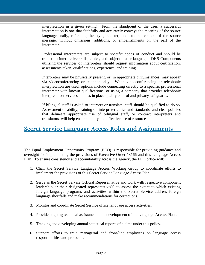interpretation in a given setting. From the standpoint of the user, a successful interpretation is one that faithfully and accurately conveys the meaning of the source language orally, reflecting the style, register, and cultural context of the source message, without omissions, additions, or embellishments on the part of the interpreter.

Professional interpreters are subject to specific codes of conduct and should be trained in interpretive skills, ethics, and subject-matter language. DHS Components utilizing the services of interpreters should request information about certification, assessments taken, qualifications, experience, and training.

Interpreters may be physically present, or, in appropriate circumstances, may appear via videoconferencing or telephonically. When videoconferencing or telephonic interpretation are used, options include connecting directly to a specific professional interpreter with known qualifications, or using a company that provides telephonic interpretation services and has in place quality control and privacy safeguards.

If bilingual staff is asked to interpret or translate, staff should be qualified to do so. Assessment of ability, training on interpreter ethics and standards, and clear policies that delineate appropriate use of bilingual staff, or contract interpreters and translators, will help ensure quality and effective use of resources.

# <span id="page-7-0"></span>**Secret Service Language Access Roles and Assignments**

The Equal Employment Opportunity Program (EEO) is responsible for providing guidance and oversight for implementing the provisions of Executive Order 13166 and this Language Access Plan. To ensure consistency and accountability across the agency, the EEO office will:

- 1. Chair the Secret Service Language Access Working Group to coordinate efforts to implement the provisions of this Secret Service Language Access Plan.
- 2. Serve as the Secret Service Official Representative and work with respective component leadership or their designated representative(s) to assess the extent to which existing foreign language programs and activities within the Secret Service address foreign language shortfalls and make recommendations for corrections.
- 3. Monitor and coordinate Secret Service office language access activities.
- 4. Provide ongoing technical assistance in the development of the Language Access Plans.
- 5. Tracking and developing annual statistical reports of claims under this policy.
- 6. Support efforts to train managerial and front-line employees on language access responsibilities and protocols.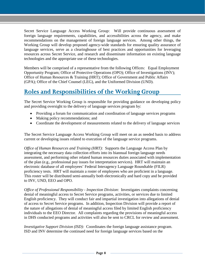Secret Service Language Access Working Group: Will provide continuous assessment of foreign language requirements, capabilities, and accessibilities across the agency, and make recommendations on the management of foreign language services. Among other things, the Working Group will develop proposed agency-wide standards for ensuring quality assurance of language services, serve as a clearinghouse of best practices and opportunities for leveraging resources across Secret Service, and research and disseminate information on existing language technologies and the appropriate use of these technologies.

Members will be comprised of a representative from the following Offices: Equal Employment Opportunity Program; Office of Protective Operations (OPO); Office of Investigations (INV); Office of Human Resources & Training (HRT); Office of Government and Public Affairs (GPA); Office of the Chief Counsel (LEG), and the Uniformed Division (UND).

# <span id="page-8-0"></span>**Roles and Responsibilities of the Working Group**

The Secret Service Working Group is responsible for providing guidance on developing policy and providing oversight to the delivery of language services program by:

- Providing a forum for communication and coordination of language services programs
- Making policy recommendations; and
- Coordinate the development of measurements related to the delivery of language services

The Secret Service Language Access Working Group will meet on an as needed basis to address current or developing issues related to execution of the language service programs.

*Office of Human Resources and Training (HRT):* Supports the Language Access Plan by integrating the necessary data collection efforts into its biannual foreign language needs assessment, and performing other related human resources duties associated with implementation of the plan (e.g., professional pay issues for interpretation services). HRT will maintain an electronic database of all employees' Federal Interagency Language Roundtable (FILR) proficiency tests. HRT will maintain a roster of employees who are proficient in a language. This roster will be distributed semi-annually both electronically and hard copy and be provided to INV, UND, EEO and OPO.

*Office of Professional Responsibility - Inspection Division*: Investigates complaints concerning denial of meaningful access to Secret Service programs, activities, or services due to limited English proficiency. They will conduct fair and impartial investigation into allegations of denial of access to Secret Service programs. In addition, Inspection Division will provide a report of the nature of allegations of denial of meaningful access filed by limited English proficiency individuals to the EEO Director. All complaints regarding the provisions of meaningful access in DHS conducted programs and activities will also be sent to CRCL for review and assessment.

*Investigative Support Division (ISD):* Coordinates the foreign language assistance program. ISD and INV determine the continued need for foreign language services based on the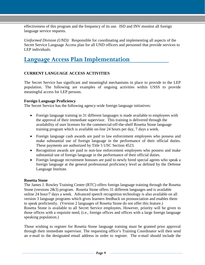effectiveness of this program and the frequency of its use. ISD and INV monitor all foreign language service requests.

*Uniformed Division (UND):* Responsible for coordinating and implementing all aspects of the Secret Service Language Access plan for all UND officers and personnel that provide services to LEP individuals.

# <span id="page-9-0"></span>**Language Access Plan Implementation**

#### **CURRENT LANGUAGE ACCESS ACTIVITIES**

The Secret Service has significant and meaningful mechanisms in place to provide to the LEP population. The following are examples of ongoing activities within USSS to provide meaningful access for LEP persons.

#### **Foreign Language Proficiency**

The Secret Service has the following agency-wide foreign language initiatives:

- Foreign language training in 31 different languages is made available to employees with the approval of their immediate supervisor. This training is delivered through the availability of user licenses for the commercial-off-the-shelf Rosetta Stone language training program which is available on-line 24 hours per day, 7 days a week.
- Foreign language cash awards are paid to law enforcement employees who possess and make substantial use of foreign language in the performance of their official duties. These payments are authorized by Title 5 USC Section 4523.
- Recognition awards are paid to non-law enforcement employees who possess and make substantial use of foreign language in the performance of their official duties.
- Foreign language recruitment bonuses are paid to newly hired special agents who speak a foreign language at the general professional proficiency level as defined by the Defense Language Institute.

#### **Rosetta Stone**

The James J. Rowley Training Center (RTC) offers foreign language training through the Rosetta Stone (versions 2&3) program. Rosetta Stone offers 31 different languages and is available online 24 hour/7 days a week. Advanced speech recognition technology is also available on all version 3 language programs which gives learners feedback on pronunciation and enables them to speak proficiently. (Version 2 languages of Rosetta Stone do not offer this feature.) Rosetta Stone is available to all Secret Service employees. However, priority will be given to those offices with a requisite need, (i.e., foreign offices and offices with a large foreign language speaking population.)

Those wishing to register for Rosetta Stone language training must be granted prior approval through their immediate supervisor. The requesting office's Training Coordinator will then send an e-mail to the designated email address in order to register. The e-mail should include the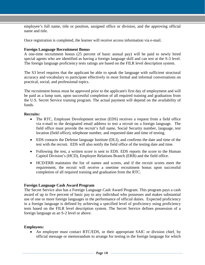employee's full name, title or position, assigned office or division, and the approving official name and title.

Once registration is completed, the learner will receive access information via e-mail.

#### **Foreign Language Recruitment Bonus**

A one-time recruitment bonus (25 percent of basic annual pay) will be paid to newly hired special agents who are identified as having a foreign language skill and can test at the S-3 level. The foreign language proficiency tests ratings are based on the FILR level description system.

The S3 level requires that the applicant be able to speak the language with sufficient structural accuracy and vocabulary to participate effectively in most formal and informal conversations on practical, social, and professional topics.

The recruitment bonus must be approved prior to the applicant's first day of employment and will be paid as a lump sum, upon successful completion of all required training and graduation from the U.S. Secret Service training program. The actual payment will depend on the availability of funds.

#### **Recruits:**

- The RTC, Employee Development section (EDS) receives a request from a field office via e-mail to the designated email address to test a recruit on a foreign language. The field office must provide the recruit's full name, Social Security number, language, test location (field office), telephone number, and requested date and time of testing.
- EDS contacts the Defense language Institute (DLI), and confirms the date and time of the test with the recruit. EDS will also notify the field office of the testing date and time.
- Following the test, a written score is sent to EDS. EDS reports the score to the Human Capitol Division's (HCD), Employee Relations Branch (ERB) and the field office.
- HCD/ERB maintains the list of names and scores, and if the recruit scores meet the requirement, the recruit will receive a onetime recruitment bonus upon successful completion of all required training and graduation from the RTC.

#### **Foreign Language Cash Award Program**

The Secret Service also has a Foreign Language Cash Award Program. This program pays a cash award of up to five percent of basic pay to any individual who possesses and makes substantial use of one or more foreign languages in the performance of official duties. Expected proficiency in a foreign language is defined by achieving a specified level of proficiency using proficiency tests based on the FILR level description system. The Secret Service defines possession of a foreign language as an S-2 level or above.

#### **Employees:**

• An employee must contact RTC/EDS, or their appropriate SAIC or division chief, by official message or memorandum to arrange for testing in the foreign language for which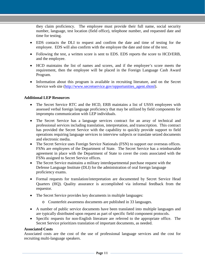they claim proficiency. The employee must provide their full name, social security number, language, test location (field office), telephone number, and requested date and time for testing.

- EDS contacts the DLI to request and confirm the date and time of testing for the employee. EDS will also confirm with the employee the date and time of the test.
- Following the test, a written score is sent to EDS. EDS reports the score to HCD/ERB, and the employee.
- HCD maintains the list of names and scores, and if the employee's score meets the requirement, then the employee will be placed in the Foreign Language Cash Award Program.
- Information about this program is available in recruiting literature, and on the Secret Service web site [\(http://www.secretservice.gov/opportunities\\_agent.shtml\)](http://www.secretservice.gov/opportunities_agent.shtml).

#### **Additional LEP Resources**

- The Secret Service RTC and the HCD, ERB maintains a list of USSS employees with assessed verbal foreign language proficiency that may be utilized by field components for impromptu communication with LEP individuals.
- The Secret Service has a language services contract for an array of technical and professional services including translation, interpretation, and transcription. This contract has provided the Secret Service with the capability to quickly provide support to field operations requiring language services to interview subjects or translate seized documents and electronic media.
- The Secret Service uses Foreign Service Nationals (FSN) to support our overseas offices. FSNs are employees of the Department of State. The Secret Service has a reimbursable agreement in place with the Department of State to cover the costs associated with the FSNs assigned to Secret Service offices.
- The Secret Service maintains a military interdepartmental purchase request with the Defense Language Institute (DLI) for the administration of oral foreign language proficiency exams.
- Formal requests for translation/interpretation are documented by Secret Service Head Quarters (HQ). Quality assurance is accomplished via informal feedback from the requestor.
- The Secret Service provides key documents in multiple languages:
	- o Counterfeit awareness documents are published in 33 languages.
- A number of public service documents have been translated into multiple languages and are typically distributed upon request as part of specific field component protocols.
- Specific requests for non-English literature are referred to the appropriate office. The Secret Service prioritizes translation of important documents, as needed.

#### **Associated Costs**

Associated costs are the cost of the use of professional language services and the cost for recruiting multi-language speakers.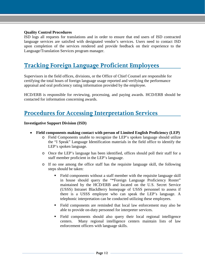#### **Quality Control Procedures**

ISD logs all requests for translations and in order to ensure that end users of ISD contracted language services are satisfied with designated vendor's services. Users need to contact ISD upon completion of the services rendered and provide feedback on their experience to the Language/Translation Services program manager.

# <span id="page-12-0"></span>**Tracking Foreign Language Proficient Employees**

Supervisors in the field offices, divisions, or the Office of Chief Counsel are responsible for certifying the total hours of foreign language usage reported and verifying the performance appraisal and oral proficiency rating information provided by the employee.

HCD/ERB is responsible for reviewing, processing, and paying awards. HCD/ERB should be contacted for information concerning awards.

# <span id="page-12-1"></span>**Procedures for Accessing Interpretation Services**

#### **Investigative Support Division (ISD)**

- **Field components making contact with person of Limited English Proficiency (LEP)**
	- o Field Components unable to recognize the LEP's spoken language should utilize the "I Speak" Language Identification materials in the field office to identify the LEP's spoken language.
	- o Once the LEP's language has been identified, offices should poll their staff for a staff member proficient in the LEP's language.
	- o If no one among the office staff has the requisite language skill, the following steps should be taken:
		- Field components without a staff member with the requisite language skill in house should query the "\*Foreign Language Proficiency Roster" maintained by the HCD/ERB and located on the U.S. Secret Service (USSS) Intranet BlackBerry homepage of USSS personnel to assess if there is a USSS employee who can speak the LEP's language. A telephonic interpretation can be conducted utilizing these employees.
		- Field components are reminded that local law enforcement may also be able to provide on-duty personnel for interpreter services.
		- Field components should also query their local regional intelligence centers. Many regional intelligence centers maintain lists of law enforcement officers with language skills.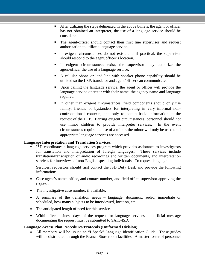- After utilizing the steps delineated in the above bullets, the agent or officer has not obtained an interpreter, the use of a language service should be considered.
- The agent/officer should contact their first line supervisor and request authorization to utilize a language service.
- If exigent circumstances do not exist, and if practical, the supervisor should respond to the agent/officer's location.
- If exigent circumstances exist, the supervisor may authorize the agent/officer the use of a language service.
- A cellular phone or land line with speaker phone capability should be utilized so the LEP, translator and agent/officer can communicate.
- Upon calling the language service, the agent or officer will provide the language service operator with their name, the agency name and language required.
- In other than exigent circumstances, field components should only use family, friends, or bystanders for interpreting in very informal nonconfrontational contexts, and only to obtain basic information at the request of the LEP. Barring exigent circumstances, personnel should not use minor children to provide interpreter services. In the event circumstances require the use of a minor, the minor will only be used until appropriate language services are accessed.

#### **Language Interpretation and Translation Services:**

 ISD coordinates a language services program which provides assistance to investigators for translation and interpretation of foreign languages. These services include translation/transcription of audio recordings and written documents, and interpretation services for interviews of non-English speaking individuals. To request language

Services, requestors should first contact the ISD Duty Desk and provide the following information:

- Case agent's name, office, and contact number, and field office supervisor approving the request.
- The investigative case number, if available.
- A summary of the translation needs language, document, audio, immediate or scheduled, how many subjects to be interviewed, location, etc.
- The anticipated length of need for this service.
- Within five business days of the request for language services, an official message documenting the request must be submitted to SAIC-ISD.

#### **Language Access Plan Procedures/Protocols (Uniformed Division):**

• All members will be issued an "I Speak" Language Identification Guide. These guides will be distributed through the Branch Store room facilities. A master roster of personnel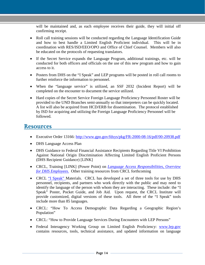will be maintained and, as each employee receives their guide, they will initial off confirming receipt.

- Roll call training sessions will be conducted regarding the Language Identification Guide and how to best handle a Limited English Proficient individual. This will be in coordination with RES/ISD/EEO/OPO and Office of Chief Counsel. Members will also be educated on the protocols of requesting translators.
- If the Secret Service expands the Language Program, additional trainings, etc. will be conducted for both officers and officials on the use of this new program and how to gain access to it.
- Posters from DHS on the "I Speak" and LEP programs will be posted in roll call rooms to further reinforce the information to personnel.
- When the "language service" is utilized, an SSF 2032 (Incident Report) will be completed on the encounter to document the service utilized.
- Hard copies of the Secret Service Foreign Language Proficiency Personnel Roster will be provided to the UND Branches semi-annually so that interpreters can be quickly located. A list will also be acquired from HCD/ERB for dissemination. The protocol established by ISD for acquiring and utilizing the Foreign Language Proficiency Personnel will be followed.

### <span id="page-14-0"></span>**Resources**

- Executive Order 13166:<http://www.gpo.gov/fdsys/pkg/FR-2000-08-16/pdf/00-20938.pdf>
- DHS Language Access Plan
- DHS Guidance to Federal Financial Assistance Recipients Regarding Title VI Prohibition Against National Origin Discrimination Affecting Limited English Proficient Persons (DHS Recipient Guidance) [LINK]
- CRCL, Training [LINK] (Power Point) on *Language Access Responsibilities, Overview for DHS Employees*. Other training resources from CRCL forthcoming
- CRCL "I Speak" Materials. CRCL has developed a set of three tools for use by DHS personnel, recipients, and partners who work directly with the public and may need to identify the language of the person with whom they are interacting. These include: the "I Speak" Poster, Pocket Guide, and Job Aid. Upon request, the CRCL Institute will provide customized, digital versions of these tools. All three of the "I Speak" tools include more than 85 languages.
- CRCL: "How To Access Demographic Data Regarding a Geographic Region's Population"
- CRCL: "How to Provide Language Services During Encounters with LEP Persons"
- Federal Interagency Working Group on Limited English Proficiency: [www.lep.gov](http://www.lep.gov/) contains resources, tools, technical assistance, and updated information on language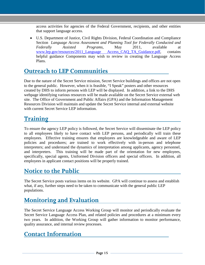access activities for agencies of the Federal Government, recipients, and other entities that support language access.

• U.S. Department of Justice, Civil Rights Division, Federal Coordination and Compliance Section *[Language Access Assessment and Planning Tool for Federally Conducted and](http://www.lep.gov/resources/2011_Language_Access_Assessment_and_Planning_Tool.pdf)  [Federally Assisted Programs](http://www.lep.gov/resources/2011_Language_Access_Assessment_and_Planning_Tool.pdf)*, May 2011, available at [www.lep.gov/resources/2011\\_Language Access\\_CAQ\\_TA\\_Guidance.pdf,](http://www.lep.gov/resources/2011_Language%20Access_CAQ_TA_Guidance.pdf) contains helpful guidance Components may wish to review in creating the Language Access Plans.

# <span id="page-15-0"></span>**Outreach to LEP Communities**

Due to the nature of the Secret Service mission, Secret Service buildings and offices are not open to the general public. However, when it is feasible, "I Speak" posters and other resources created by DHS to inform persons with LEP will be displayed. In addition, a link to the DHS webpage identifying various resources will be made available on the Secret Service external web site. The Office of Government and Public Affairs (GPA) and the Information Management Resources Division will maintain and update the Secret Service internal and external website with current Secret Service LEP information.

# <span id="page-15-1"></span>**Training**

To ensure the agency LEP policy is followed, the Secret Service will disseminate the LEP policy to all employees likely to have contact with LEP persons, and periodically will train these employees. Effective training ensures that employees are knowledgeable and aware of LEP policies and procedures; are trained to work effectively with in-person and telephone interpreters; and understand the dynamics of interpretation among applicants, agency personnel, and interpreters. This training will be made part of the orientation for new employees, specifically, special agents, Uniformed Division officers and special officers. In addition, all employees in applicant contact positions will be properly trained.

# <span id="page-15-2"></span>**Notice to the Public**

The Secret Service posts various items on its website. GPA will continue to assess and establish what, if any, further steps need to be taken to communicate with the general public LEP populations.

# <span id="page-15-3"></span>**Monitoring and Evaluation**

The Secret Service Language Access Working Group will monitor and periodically evaluate the Secret Service Language Access Plan, and related policies and procedures at a minimum every two years. In addition, the Working Group will gather information to monitor performance, quality assurance, and internal review processes.

# <span id="page-15-4"></span>**Contact Information**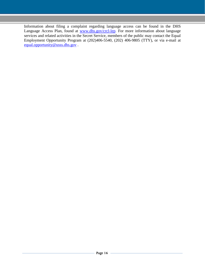Information about filing a complaint regarding language access can be found in the DHS Language Access Plan, found at [www.dhs.gov/crcl-lep.](http://www.dhs.gov/crcl-lep) For more information about language services and related activities in the Secret Service, members of the public may contact the Equal Employment Opportunity Program at (202)406-5540, (202) 406-9805 (TTY), or via e-mail at [equal.opportunity@usss.dhs.gov](mailto:equal.opportunity@usss.dhs.gov) .